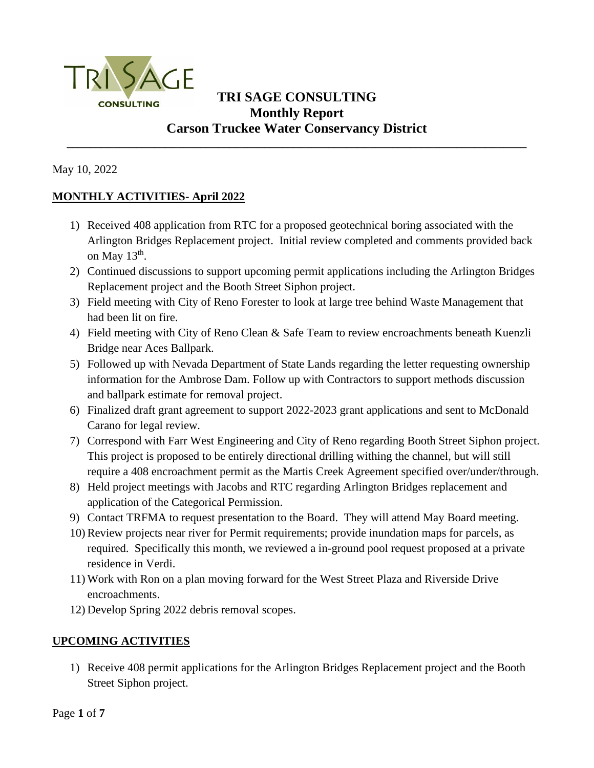

## **TRI SAGE CONSULTING Monthly Report Carson Truckee Water Conservancy District**

**\_\_\_\_\_\_\_\_\_\_\_\_\_\_\_\_\_\_\_\_\_\_\_\_\_\_\_\_\_\_\_\_\_\_\_\_\_\_\_\_\_\_\_\_\_\_\_\_\_\_\_\_\_\_\_\_\_\_\_\_\_\_\_\_\_\_\_\_\_\_\_\_\_\_\_\_\_\_\_**

May 10, 2022

## **MONTHLY ACTIVITIES- April 2022**

- 1) Received 408 application from RTC for a proposed geotechnical boring associated with the Arlington Bridges Replacement project. Initial review completed and comments provided back on May  $13<sup>th</sup>$ .
- 2) Continued discussions to support upcoming permit applications including the Arlington Bridges Replacement project and the Booth Street Siphon project.
- 3) Field meeting with City of Reno Forester to look at large tree behind Waste Management that had been lit on fire.
- 4) Field meeting with City of Reno Clean & Safe Team to review encroachments beneath Kuenzli Bridge near Aces Ballpark.
- 5) Followed up with Nevada Department of State Lands regarding the letter requesting ownership information for the Ambrose Dam. Follow up with Contractors to support methods discussion and ballpark estimate for removal project.
- 6) Finalized draft grant agreement to support 2022-2023 grant applications and sent to McDonald Carano for legal review.
- 7) Correspond with Farr West Engineering and City of Reno regarding Booth Street Siphon project. This project is proposed to be entirely directional drilling withing the channel, but will still require a 408 encroachment permit as the Martis Creek Agreement specified over/under/through.
- 8) Held project meetings with Jacobs and RTC regarding Arlington Bridges replacement and application of the Categorical Permission.
- 9) Contact TRFMA to request presentation to the Board. They will attend May Board meeting.
- 10) Review projects near river for Permit requirements; provide inundation maps for parcels, as required. Specifically this month, we reviewed a in-ground pool request proposed at a private residence in Verdi.
- 11) Work with Ron on a plan moving forward for the West Street Plaza and Riverside Drive encroachments.
- 12) Develop Spring 2022 debris removal scopes.

## **UPCOMING ACTIVITIES**

1) Receive 408 permit applications for the Arlington Bridges Replacement project and the Booth Street Siphon project.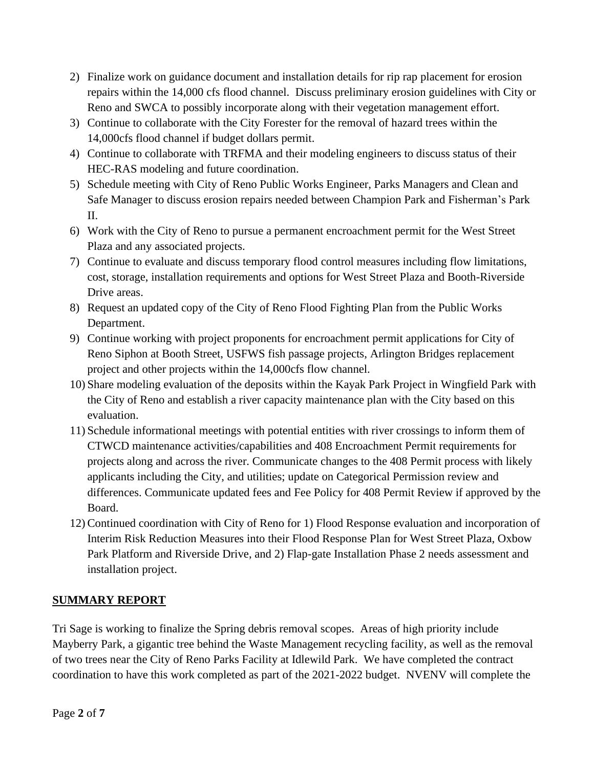- 2) Finalize work on guidance document and installation details for rip rap placement for erosion repairs within the 14,000 cfs flood channel. Discuss preliminary erosion guidelines with City or Reno and SWCA to possibly incorporate along with their vegetation management effort.
- 3) Continue to collaborate with the City Forester for the removal of hazard trees within the 14,000cfs flood channel if budget dollars permit.
- 4) Continue to collaborate with TRFMA and their modeling engineers to discuss status of their HEC-RAS modeling and future coordination.
- 5) Schedule meeting with City of Reno Public Works Engineer, Parks Managers and Clean and Safe Manager to discuss erosion repairs needed between Champion Park and Fisherman's Park II.
- 6) Work with the City of Reno to pursue a permanent encroachment permit for the West Street Plaza and any associated projects.
- 7) Continue to evaluate and discuss temporary flood control measures including flow limitations, cost, storage, installation requirements and options for West Street Plaza and Booth-Riverside Drive areas.
- 8) Request an updated copy of the City of Reno Flood Fighting Plan from the Public Works Department.
- 9) Continue working with project proponents for encroachment permit applications for City of Reno Siphon at Booth Street, USFWS fish passage projects, Arlington Bridges replacement project and other projects within the 14,000cfs flow channel.
- 10) Share modeling evaluation of the deposits within the Kayak Park Project in Wingfield Park with the City of Reno and establish a river capacity maintenance plan with the City based on this evaluation.
- 11) Schedule informational meetings with potential entities with river crossings to inform them of CTWCD maintenance activities/capabilities and 408 Encroachment Permit requirements for projects along and across the river. Communicate changes to the 408 Permit process with likely applicants including the City, and utilities; update on Categorical Permission review and differences. Communicate updated fees and Fee Policy for 408 Permit Review if approved by the Board.
- 12) Continued coordination with City of Reno for 1) Flood Response evaluation and incorporation of Interim Risk Reduction Measures into their Flood Response Plan for West Street Plaza, Oxbow Park Platform and Riverside Drive, and 2) Flap-gate Installation Phase 2 needs assessment and installation project.

## **SUMMARY REPORT**

Tri Sage is working to finalize the Spring debris removal scopes. Areas of high priority include Mayberry Park, a gigantic tree behind the Waste Management recycling facility, as well as the removal of two trees near the City of Reno Parks Facility at Idlewild Park. We have completed the contract coordination to have this work completed as part of the 2021-2022 budget. NVENV will complete the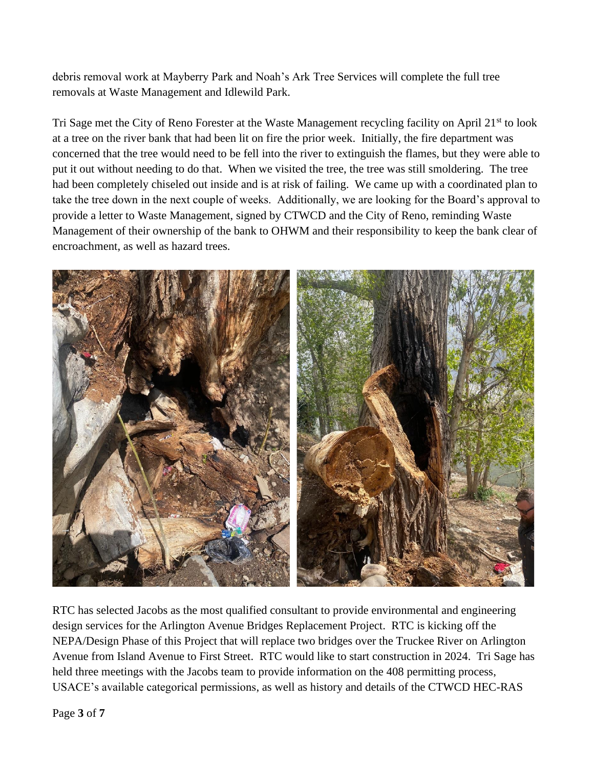debris removal work at Mayberry Park and Noah's Ark Tree Services will complete the full tree removals at Waste Management and Idlewild Park.

Tri Sage met the City of Reno Forester at the Waste Management recycling facility on April 21<sup>st</sup> to look at a tree on the river bank that had been lit on fire the prior week. Initially, the fire department was concerned that the tree would need to be fell into the river to extinguish the flames, but they were able to put it out without needing to do that. When we visited the tree, the tree was still smoldering. The tree had been completely chiseled out inside and is at risk of failing. We came up with a coordinated plan to take the tree down in the next couple of weeks. Additionally, we are looking for the Board's approval to provide a letter to Waste Management, signed by CTWCD and the City of Reno, reminding Waste Management of their ownership of the bank to OHWM and their responsibility to keep the bank clear of encroachment, as well as hazard trees.



RTC has selected Jacobs as the most qualified consultant to provide environmental and engineering design services for the Arlington Avenue Bridges Replacement Project. RTC is kicking off the NEPA/Design Phase of this Project that will replace two bridges over the Truckee River on Arlington Avenue from Island Avenue to First Street. RTC would like to start construction in 2024. Tri Sage has held three meetings with the Jacobs team to provide information on the 408 permitting process, USACE's available categorical permissions, as well as history and details of the CTWCD HEC-RAS

Page **3** of **7**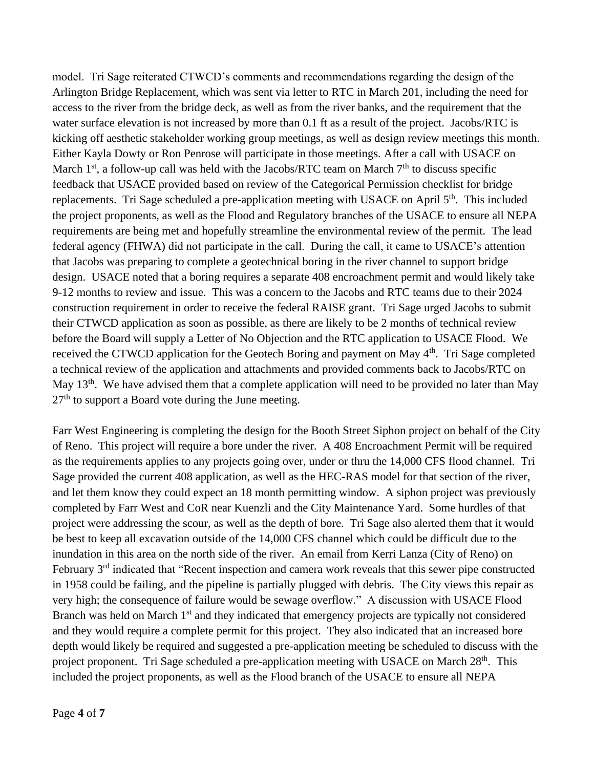model. Tri Sage reiterated CTWCD's comments and recommendations regarding the design of the Arlington Bridge Replacement, which was sent via letter to RTC in March 201, including the need for access to the river from the bridge deck, as well as from the river banks, and the requirement that the water surface elevation is not increased by more than 0.1 ft as a result of the project. Jacobs/RTC is kicking off aesthetic stakeholder working group meetings, as well as design review meetings this month. Either Kayla Dowty or Ron Penrose will participate in those meetings. After a call with USACE on March  $1<sup>st</sup>$ , a follow-up call was held with the Jacobs/RTC team on March  $7<sup>th</sup>$  to discuss specific feedback that USACE provided based on review of the Categorical Permission checklist for bridge replacements. Tri Sage scheduled a pre-application meeting with USACE on April 5<sup>th</sup>. This included the project proponents, as well as the Flood and Regulatory branches of the USACE to ensure all NEPA requirements are being met and hopefully streamline the environmental review of the permit. The lead federal agency (FHWA) did not participate in the call. During the call, it came to USACE's attention that Jacobs was preparing to complete a geotechnical boring in the river channel to support bridge design. USACE noted that a boring requires a separate 408 encroachment permit and would likely take 9-12 months to review and issue. This was a concern to the Jacobs and RTC teams due to their 2024 construction requirement in order to receive the federal RAISE grant. Tri Sage urged Jacobs to submit their CTWCD application as soon as possible, as there are likely to be 2 months of technical review before the Board will supply a Letter of No Objection and the RTC application to USACE Flood. We received the CTWCD application for the Geotech Boring and payment on May 4<sup>th</sup>. Tri Sage completed a technical review of the application and attachments and provided comments back to Jacobs/RTC on May 13<sup>th</sup>. We have advised them that a complete application will need to be provided no later than May  $27<sup>th</sup>$  to support a Board vote during the June meeting.

Farr West Engineering is completing the design for the Booth Street Siphon project on behalf of the City of Reno. This project will require a bore under the river. A 408 Encroachment Permit will be required as the requirements applies to any projects going over, under or thru the 14,000 CFS flood channel. Tri Sage provided the current 408 application, as well as the HEC-RAS model for that section of the river, and let them know they could expect an 18 month permitting window. A siphon project was previously completed by Farr West and CoR near Kuenzli and the City Maintenance Yard. Some hurdles of that project were addressing the scour, as well as the depth of bore. Tri Sage also alerted them that it would be best to keep all excavation outside of the 14,000 CFS channel which could be difficult due to the inundation in this area on the north side of the river. An email from Kerri Lanza (City of Reno) on February 3rd indicated that "Recent inspection and camera work reveals that this sewer pipe constructed in 1958 could be failing, and the pipeline is partially plugged with debris. The City views this repair as very high; the consequence of failure would be sewage overflow." A discussion with USACE Flood Branch was held on March 1<sup>st</sup> and they indicated that emergency projects are typically not considered and they would require a complete permit for this project. They also indicated that an increased bore depth would likely be required and suggested a pre-application meeting be scheduled to discuss with the project proponent. Tri Sage scheduled a pre-application meeting with USACE on March 28<sup>th</sup>. This included the project proponents, as well as the Flood branch of the USACE to ensure all NEPA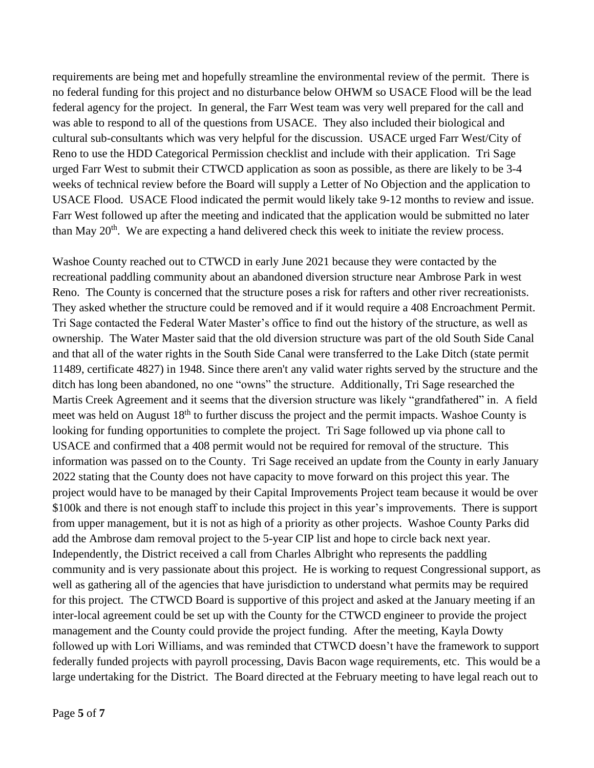requirements are being met and hopefully streamline the environmental review of the permit. There is no federal funding for this project and no disturbance below OHWM so USACE Flood will be the lead federal agency for the project. In general, the Farr West team was very well prepared for the call and was able to respond to all of the questions from USACE. They also included their biological and cultural sub-consultants which was very helpful for the discussion. USACE urged Farr West/City of Reno to use the HDD Categorical Permission checklist and include with their application. Tri Sage urged Farr West to submit their CTWCD application as soon as possible, as there are likely to be 3-4 weeks of technical review before the Board will supply a Letter of No Objection and the application to USACE Flood. USACE Flood indicated the permit would likely take 9-12 months to review and issue. Farr West followed up after the meeting and indicated that the application would be submitted no later than May 20<sup>th</sup>. We are expecting a hand delivered check this week to initiate the review process.

Washoe County reached out to CTWCD in early June 2021 because they were contacted by the recreational paddling community about an abandoned diversion structure near Ambrose Park in west Reno. The County is concerned that the structure poses a risk for rafters and other river recreationists. They asked whether the structure could be removed and if it would require a 408 Encroachment Permit. Tri Sage contacted the Federal Water Master's office to find out the history of the structure, as well as ownership. The Water Master said that the old diversion structure was part of the old South Side Canal and that all of the water rights in the South Side Canal were transferred to the Lake Ditch (state permit 11489, certificate 4827) in 1948. Since there aren't any valid water rights served by the structure and the ditch has long been abandoned, no one "owns" the structure. Additionally, Tri Sage researched the Martis Creek Agreement and it seems that the diversion structure was likely "grandfathered" in. A field meet was held on August 18<sup>th</sup> to further discuss the project and the permit impacts. Washoe County is looking for funding opportunities to complete the project. Tri Sage followed up via phone call to USACE and confirmed that a 408 permit would not be required for removal of the structure. This information was passed on to the County. Tri Sage received an update from the County in early January 2022 stating that the County does not have capacity to move forward on this project this year. The project would have to be managed by their Capital Improvements Project team because it would be over \$100k and there is not enough staff to include this project in this year's improvements. There is support from upper management, but it is not as high of a priority as other projects. Washoe County Parks did add the Ambrose dam removal project to the 5-year CIP list and hope to circle back next year. Independently, the District received a call from Charles Albright who represents the paddling community and is very passionate about this project. He is working to request Congressional support, as well as gathering all of the agencies that have jurisdiction to understand what permits may be required for this project. The CTWCD Board is supportive of this project and asked at the January meeting if an inter-local agreement could be set up with the County for the CTWCD engineer to provide the project management and the County could provide the project funding. After the meeting, Kayla Dowty followed up with Lori Williams, and was reminded that CTWCD doesn't have the framework to support federally funded projects with payroll processing, Davis Bacon wage requirements, etc. This would be a large undertaking for the District. The Board directed at the February meeting to have legal reach out to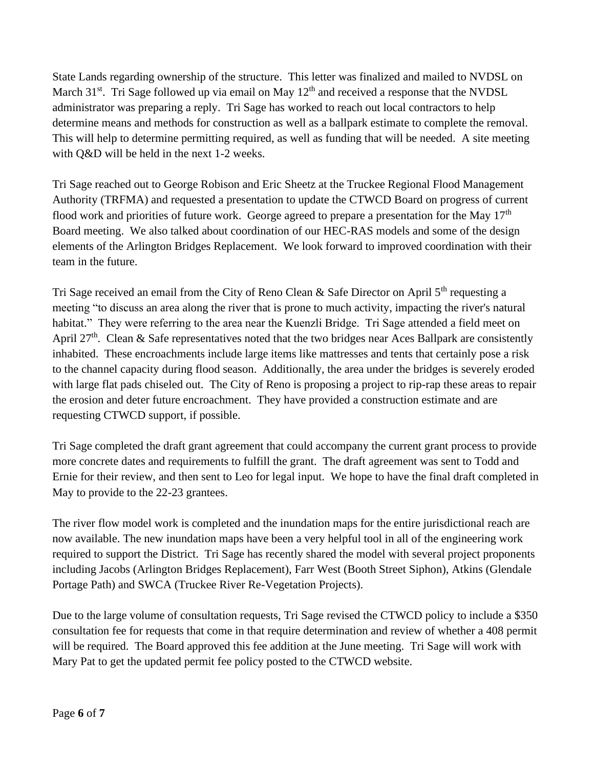State Lands regarding ownership of the structure. This letter was finalized and mailed to NVDSL on March  $31^{st}$ . Tri Sage followed up via email on May  $12^{th}$  and received a response that the NVDSL administrator was preparing a reply. Tri Sage has worked to reach out local contractors to help determine means and methods for construction as well as a ballpark estimate to complete the removal. This will help to determine permitting required, as well as funding that will be needed. A site meeting with Q&D will be held in the next 1-2 weeks.

Tri Sage reached out to George Robison and Eric Sheetz at the Truckee Regional Flood Management Authority (TRFMA) and requested a presentation to update the CTWCD Board on progress of current flood work and priorities of future work. George agreed to prepare a presentation for the May  $17<sup>th</sup>$ Board meeting. We also talked about coordination of our HEC-RAS models and some of the design elements of the Arlington Bridges Replacement. We look forward to improved coordination with their team in the future.

Tri Sage received an email from the City of Reno Clean & Safe Director on April  $5<sup>th</sup>$  requesting a meeting "to discuss an area along the river that is prone to much activity, impacting the river's natural habitat." They were referring to the area near the Kuenzli Bridge. Tri Sage attended a field meet on April 27<sup>th</sup>. Clean & Safe representatives noted that the two bridges near Aces Ballpark are consistently inhabited. These encroachments include large items like mattresses and tents that certainly pose a risk to the channel capacity during flood season. Additionally, the area under the bridges is severely eroded with large flat pads chiseled out. The City of Reno is proposing a project to rip-rap these areas to repair the erosion and deter future encroachment. They have provided a construction estimate and are requesting CTWCD support, if possible.

Tri Sage completed the draft grant agreement that could accompany the current grant process to provide more concrete dates and requirements to fulfill the grant. The draft agreement was sent to Todd and Ernie for their review, and then sent to Leo for legal input. We hope to have the final draft completed in May to provide to the 22-23 grantees.

The river flow model work is completed and the inundation maps for the entire jurisdictional reach are now available. The new inundation maps have been a very helpful tool in all of the engineering work required to support the District. Tri Sage has recently shared the model with several project proponents including Jacobs (Arlington Bridges Replacement), Farr West (Booth Street Siphon), Atkins (Glendale Portage Path) and SWCA (Truckee River Re-Vegetation Projects).

Due to the large volume of consultation requests, Tri Sage revised the CTWCD policy to include a \$350 consultation fee for requests that come in that require determination and review of whether a 408 permit will be required. The Board approved this fee addition at the June meeting. Tri Sage will work with Mary Pat to get the updated permit fee policy posted to the CTWCD website.